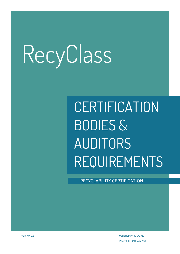# **CERTIFICATION** BODIES & AUDITORS REQUIREMENTS

RECYCLABILITY CERTIFICATION

VERSION 2.1 PUBLISHED ON JULY 2020 UPDATED ON JANUARY 2022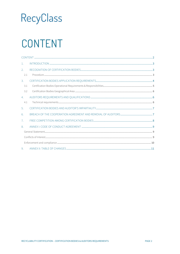### <span id="page-1-0"></span>CONTENT

| $\mathbf{1}$ .  |  |  |  |  |  |
|-----------------|--|--|--|--|--|
| 2.              |  |  |  |  |  |
| 2.1             |  |  |  |  |  |
| $\mathcal{B}$ . |  |  |  |  |  |
| 3.1             |  |  |  |  |  |
| 3.2             |  |  |  |  |  |
| 4.              |  |  |  |  |  |
| 4.1             |  |  |  |  |  |
| $5^{\circ}$     |  |  |  |  |  |
| 6.              |  |  |  |  |  |
| $\overline{7}$  |  |  |  |  |  |
| 8.              |  |  |  |  |  |
|                 |  |  |  |  |  |
|                 |  |  |  |  |  |
|                 |  |  |  |  |  |
| 9.              |  |  |  |  |  |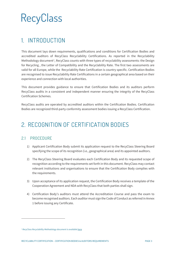### <span id="page-2-0"></span>1. INTRODUCTION

This document lays down requirements, qualifications and conditions for Certification Bodies and accredited auditors of RecyClass Recyclability Certifications. As reported in the Recyclability Methodology document<sup>[1](#page-2-3)</sup>, RecyClass counts with three types of recyclability assessments: the Design for Recycling , the Letter of Compatibility and the Recyclability Rate. The first two assessments are valid for all Europe, while the Recyclability Rate Certification is country specific. Certification Bodies are recognised to issue Recyclability Rate Certifications in a certain geographical area based on their experience and connection with local authorities.

This document provides guidance to ensure that Certification Bodies and its auditors perform RecyClass audits in a consistent and independent manner ensuring the integrity of the RecyClass Certification Schemes.

RecyClass audits are operated by accredited auditors within the Certification Bodies. Certification Bodies are recognized third-party conformity assessment bodies issuing a RecyClass Certification.

### <span id="page-2-1"></span>2. RECOGNITION OF CERTIFICATION BODIES

#### <span id="page-2-2"></span>2.1 PROCEDURE

- 1) Applicant Certification Body submit its application request to the RecyClass Steering Board specifying the scope of its recognition (i.e., geographical area) and its appointed auditors.
- 2) The RecyClass Steering Board evaluates each Certification Body and its requested scope of recognition according to the requirements set forth in this document. RecyClass may contact relevant institutions and organisations to ensure that the Certification Body complies with the requirements.
- 3) Upon acceptance of its application request, the Certification Body receives a template of the Cooperation Agreement and NDA with RecyClass that both parties shall sign.
- 4) Certification Body's auditors must attend the Accreditation Course and pass the exam to become recognised auditors. Each auditor must sign the Code of Conduct as referred in Annex 1 before issuing any Certificate.

<span id="page-2-3"></span><sup>&</sup>lt;sup>1</sup> RecyClass Recyclability Methodology document is available [here](https://recyclass.eu/get-certified/recyclability/recyclass-certification-documents/)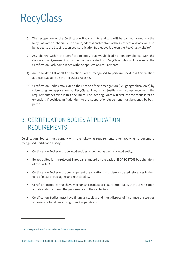- 5) The recognition of the Certification Body and its auditors will be communicated via the RecyClass official channels. The name, address and contact of the Certification Body will also be added to the list of recognised Certification Bodies available on the RecyClass website<sup>[2](#page-3-1)</sup>.
- 6) Any change within the Certification Body that would lead to non-compliance with the Cooperation Agreement must be communicated to RecyClass who will revaluate the Certification Body compliance with the application requirements.
- 7) An up-to-date list of all Certification Bodies recognised to perform RecyClass Certification audits is available on the RecyClass website.
- 8) Certification Bodies may extend their scope of their recognition (i.e., geographical area) by submitting an application to RecyClass. They must justify their compliance with the requirements set forth in this document. The Steering Board will evaluate the request for an extension. If positive, an Addendum to the Cooperation Agreement must be signed by both parties.

### <span id="page-3-0"></span>3. CERTIFICATION BODIES APPLICATION REQUIREMENTS

Certification Bodies must comply with the following requirements after applying to become a recognised Certification Body:

- Certification Bodies must be legal entities or defined as part of a legal entity.
- Be accredited for the relevant European standard on the basis of ISO/IEC 17065 by a signatory of the EA-MLA.
- Certification Bodies must be competent organisations with demonstrated references in the field of plastics packaging and recyclability.
- Certification Bodies must have mechanisms in place to ensure impartiality of the organisation and its auditors during the performance of their activities.
- Certification Bodies must have financial stability and must dispose of insurance or reserves to cover any liabilities arising from its operations.

<span id="page-3-1"></span>*<sup>2</sup> List of recognized Certification Bodies available at www.recyclass.eu*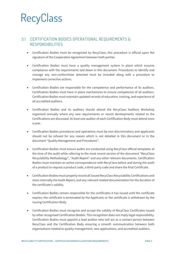#### <span id="page-4-0"></span>3.1 CERTIFICATION BODIES OPERATIONAL REQUIREMENTS & RESPONSIBILITIES

- Certification Bodies must be recognised by RecyClass; this procedure is official upon the signature of the Cooperation Agreement between both parties.
- Certification Bodies must have a quality management system in place which ensures compliance with the requirements laid down in this document. Procedures to identify and manage any non-conformities detected must be included along with a procedure to implement corrective actions.
- Certification Bodies are responsible for the competence and performance of its auditors. Certification Bodies must have in place mechanisms to ensure competence of all auditors. Certification Bodies must maintain updated records of education, training, and experience of all accredited auditors.
- Certification Bodies and its auditors should attend the RecyClass Auditors Workshop organised annually where any new requirements or recent developments related to the Certifications are discussed. At least one auditor of each Certification Body must attend once a year.
- Certification Bodies procedures and operations must be non-discriminatory and applicants should not be refused for any reason which is not detailed in this document or in the document "Quality Management and Procedures".
- Certification Bodies must ensure audits are conducted using RecyClass official templates at the time of the audit while referring to the most recent version of the document "RecyClass Recyclability Methodology", "Audit Report" and any other relevant documents. Certification Bodies must maintain an active correspondence with RecyClass before and during the audit of a product to request a product code, a third-party code and share the final Certificate.
- Certification Bodies must properly record all issued RecyClass Recyclability Certifications and store internally the Audit Report, and any relevant related documentation for the duration of the certificate's validity.
- Certification Bodies remain responsible for the certificates it has issued until the certificate expires; the certificate is terminated by the Applicant; or the certificate is withdrawn by the issuing Certification Body.
- Certification Bodies must recognise and accept the validity of RecyClass Certificates issued by other recognised Certification Bodies. This recognition does not imply legal responsibility. Certification Bodies must appoint a lead auditor who will act as a contact person between RecyClass and the Certification Body ensuring a smooth communication between both organisations related to quality management, new applications, and accredited auditors.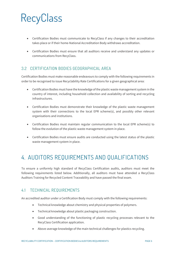- Certification Bodies must communicate to RecyClass if any changes to their accreditation takes place or if their home-National Accreditation Body withdraws accreditation.
- Certification Bodies must ensure that all auditors receive and understand any updates or communications from RecyClass.

#### <span id="page-5-0"></span>3.2 CERTIFICATION BODIES GEOGRAPHICAL AREA

Certification Bodies must make reasonable endeavours to comply with the following requirements in order to be recognised to issue Recyclability Rate Certifications for a given geographical area:

- Certification Bodies must have the knowledge of the plastic waste management system in the country of interest, including household collection and availability of sorting and recycling infrastructures.
- Certification Bodies must demonstrate their knowledge of the plastic waste management system with their connections to the local EPR scheme(s), and possibly other relevant organisations and institutions.
- Certification Bodies must maintain regular communication to the local EPR scheme(s) to follow the evolution of the plastic waste management system in place.
- Certification Bodies must ensure audits are conducted using the latest status of the plastic waste management system in place.

### <span id="page-5-1"></span>4. AUDITORS REQUIREMENTS AND QUALIFICATIONS

To ensure a uniformly high standard of RecyClass Certification audits, auditors must meet the following requirements listed below. Additionally, all auditors must have attended a RecyClass Auditors Training for Recycled Content Traceability and have passed the final exam.

#### <span id="page-5-2"></span>4.1 TECHNICAL REQUIREMENTS

An accredited auditor under a Certification Body must comply with the following requirements:

- Technical knowledge about chemistry and physical properties of polymers.
- Technical knowledge about plastic packaging construction.
- Good understanding of the functioning of plastic recycling processes relevant to the RecyClass Certification application.
- Above-average knowledge of the main technical challenges for plastics recycling.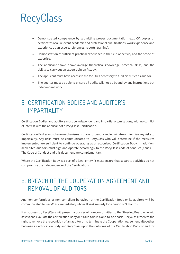- Demonstrated competence by submitting proper documentation (e.g., CV, copies of certificates of all relevant academic and professional qualifications, work experience and experience as an expert, references, reports, training).
- Demonstration of sufficient practical experience in the field of activity and the scope of expertise.
- The applicant shows above average theoretical knowledge, practical skills, and the ability to carry out an expert opinion / study.
- The applicant must have access to the facilities necessary to fulfil his duties as auditor.
- The auditor must be able to ensure all audits will not be bound by any instructions but independent work.

### <span id="page-6-0"></span>5. CERTIFICATION BODIES AND AUDITOR'S IMPARTIALITY

Certification Bodies and auditors must be independent and impartial organisations, with no conflict of interest with the applicant of a RecyClass Certification.

Certification Bodies must have mechanisms in place to identify and eliminate or minimise any risks to impartiality. Any risks must be communicated to RecyClass who will determine if the measures implemented are sufficient to continue operating as a recognised Certification Body. In addition, accredited auditors must sign and operate accordingly to the RecyClass code of conduct (Annex I). The Code of Conduct and this document are complementary.

Where the Certification Body is a part of a legal entity, it must ensure that separate activities do not compromise the independence of the Certifications.

### <span id="page-6-1"></span>6. BREACH OF THE COOPERATION AGREEMENT AND REMOVAL OF AUDITORS

Any non-conformities or non-compliant behaviour of the Certification Body or its auditors will be communicated to RecyClass immediately who will seek remedy for a period of 3 months.

If unsuccessful, RecyClass will present a dossier of non-conformities to the Steering Board who will assess and evaluate the Certification Body or its auditors in a one-to-one basis. RecyClass reserves the right to remove the recognition of an auditor or to terminate the Cooperation Agreement altogether between a Certification Body and RecyClass upon the outcome of the Certification Body or auditor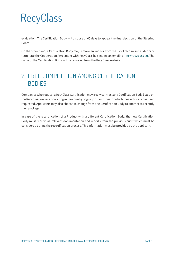evaluation. The Certification Body will dispose of 60 days to appeal the final decision of the Steering Board.

On the other hand, a Certification Body may remove an auditor from the list of recognised auditors or terminate the Cooperation Agreement with RecyClass by sending an email t[o info@recyclass.eu.](mailto:info@recyclass.eu) The name of the Certification Body will be removed from the RecyClass website.

### <span id="page-7-0"></span>7. FREE COMPETITION AMONG CERTIFICATION BODIES

Companies who request a RecyClass Certification may freely contract any Certification Body listed on the RecyClass website operating in the country or group of countries for which the Certificate has been requested. Applicants may also choose to change from one Certification Body to another to recertify their package.

In case of the recertification of a Product with a different Certification Body, the new Certification Body must receive all relevant documentation and reports from the previous audit which must be considered during the recertification process. This information must be provided by the applicant.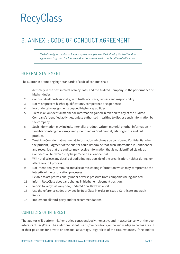### <span id="page-8-0"></span>8. ANNEX I: CODE OF CONDUCT AGREEMENT

*The below-signed auditor voluntary agrees to implement the following Code of Conduct Agreement to govern the future conduct in connection with the RecyClass Certification:*

#### <span id="page-8-1"></span>GENERAL STATEMENT

The auditor in promoting high standards of code of conduct shall:

- 1 Act solely in the best interest of RecyClass, and the Audited Company, in the performance of his/her duties.
- 2 Conduct itself professionally, with truth, accuracy, fairness and responsibility.
- 3 Not misrepresent his/her qualifications, competence or experience.
- 4 Nor undertake assignments beyond his/her capabilities.
- 5 Treat in a Confidential manner all information gained in relation to any of the Audited Company's identified activities, unless authorised in writing to disclose such information by the company.
- 6 Such information may include, inter alia: product, written material or other information in tangible or intangible form, clearly identified as Confidential, relating to the audited product.
- 7 Treat in a Confidential manner all information which may be considered Confidential when the prudent judgment of the auditor could determine that such information is Confidential and recognize that the auditor may receive information that is not identified clearly as Confidential, but which may be perceived as Confidential.
- 8 Will not disclose any details of audit findings outside of the organisation, neither during nor after the audit process.
- 9 Not intentionally communicate false or misleading information which may compromise the integrity of the certification processes.
- 10 Be able to act professionally under adverse pressure from companies being audited.
- 11 Inform RecyClass about any change in his/her employment position.
- 12 Report to RecyClass any new, updated or withdrawn audit.
- 13 Use the reference codes provided by RecyClass in order to issue a Certificate and Audit Report.
- 14 Implement all third-party auditor recommendations.

#### <span id="page-8-2"></span>CONFLICTS OF INTEREST

The auditor will perform his/her duties conscientiously, honestly, and in accordance with the best interests of RecyClass. The auditor must not use his/her positions, or the knowledge gained as a result of their positions for private or personal advantage. Regardless of the circumstances, if the auditor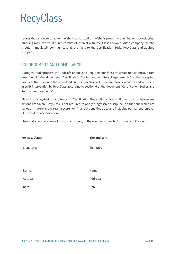senses that a course of action he/she has pursued or he/she is presently pursuing or is considering pursuing may involve him in a conflict of interest with RecyClass and/or audited company, he/she should immediately communicate all the facts to the Certification Body, RecyClass and audited company.

#### <span id="page-9-0"></span>ENFORCEMENT AND COMPLIANCE

During the audit process, the Code of Conduct and Requirements for Certification Bodies and auditors described in the document "Certification Bodies and Auditors Requirements" is the accepted practices that surround the accredited auditor. Violations of these are serious in nature and will result in swift intervention by RecyClass according to section 6 of the document "Certification Bodies and Auditors Requirements".

All sanctions against an auditor or its Certification Body will involve a full investigation before any actions are taken. RecyClass is not required to apply progressive discipline in situations which are serious in nature and warrant severe non-financial penalties up to and including permanent removal of the auditor accreditation.

The auditor will cooperate fully with an inquiry in the event of a breach of this Code of Conduct.

| <b>For RecyClass:</b> | The auditor: |
|-----------------------|--------------|
| Signature:            | Signature:   |
|                       |              |
| Name:                 | Name:        |
| Address:              | Address:     |
| Date:                 | Date:        |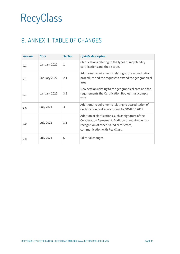### <span id="page-10-0"></span>9. ANNEX II: TABLE OF CHANGES

| <b>Version</b> | <b>Date</b>      | <b>Section</b> | <b>Update description</b>                                                                                                                                                              |
|----------------|------------------|----------------|----------------------------------------------------------------------------------------------------------------------------------------------------------------------------------------|
| 2.1            | January 2022     | 1              | Clarifications relating to the types of recyclability<br>certifications and their scope.                                                                                               |
| 2.1            | January 2022     | 2.1            | Additional requirements relating to the accreditation<br>procedure and the request to extend the geographical<br>area                                                                  |
| 2.1            | January 2022     | 3.2            | New section relating to the geographical area and the<br>requirements the Certification Bodies must comply<br>with.                                                                    |
| 2.0            | <b>July 2021</b> | 3              | Additional requirements relating to accreditation of<br>Certification Bodies according to ISO/IEC 17065                                                                                |
| 2.0            | <b>July 2021</b> | 3.1            | Addition of clarifications such as signature of the<br>Cooperation Agreement. Addition of requirements -<br>recognition of other issued certificates,<br>communication with RecyClass. |
| 2.0            | <b>July 2021</b> | 6              | Editorial changes                                                                                                                                                                      |